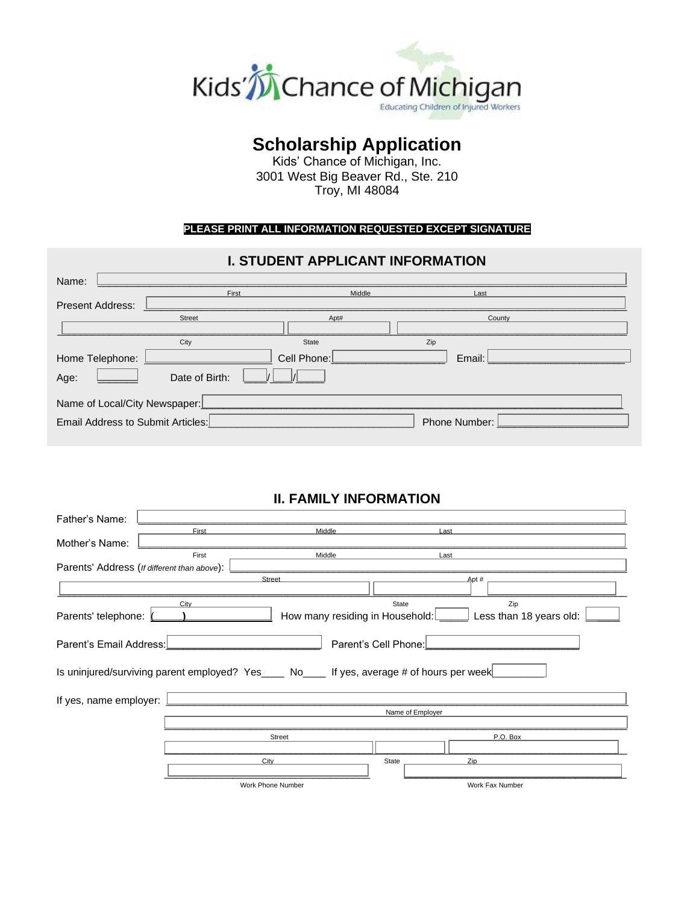

# **Scholarship Application**

Kids' Chance of Michigan, Inc. 3001 West Big Beaver Rd., Ste. 210 Troy, MI 48084

### **PLEASE PRINT ALL INFORMATION REQUESTED EXCEPT SIGNATURE**

# **I. STUDENT APPLICANT INFORMATION**

| Name:                             |                |             |                      |  |
|-----------------------------------|----------------|-------------|----------------------|--|
|                                   | First          | Middle      | Last                 |  |
| <b>Present Address:</b>           |                |             |                      |  |
|                                   | Street         | Apt#        | County               |  |
|                                   |                |             |                      |  |
|                                   | City           | State       | Zip                  |  |
| Home Telephone:                   |                | Cell Phone: | Email:               |  |
| Age:                              | Date of Birth: |             |                      |  |
| Name of Local/City Newspaper:     |                |             |                      |  |
| Email Address to Submit Articles: |                |             | <b>Phone Number:</b> |  |

# **II. FAMILY INFORMATION**

| Father's Name:          |                                             |                                                                                           |                      |      |                         |  |
|-------------------------|---------------------------------------------|-------------------------------------------------------------------------------------------|----------------------|------|-------------------------|--|
|                         | First                                       | Middle                                                                                    |                      | Last |                         |  |
| Mother's Name:          |                                             |                                                                                           |                      |      |                         |  |
|                         | First                                       | Middle                                                                                    |                      | Last |                         |  |
|                         | Parents' Address (If different than above): |                                                                                           |                      |      |                         |  |
|                         |                                             | Street                                                                                    |                      | Apt# |                         |  |
|                         | City                                        |                                                                                           | State                |      | Zip                     |  |
| Parents' telephone:     |                                             | How many residing in Household:                                                           |                      |      | Less than 18 years old: |  |
| Parent's Email Address: |                                             |                                                                                           | Parent's Cell Phone: |      |                         |  |
|                         |                                             | Is uninjured/surviving parent employed? Yes   No   No   Fyes, average # of hours per week |                      |      |                         |  |
| If yes, name employer:  |                                             |                                                                                           |                      |      |                         |  |
|                         |                                             | Name of Employer                                                                          |                      |      |                         |  |
|                         |                                             |                                                                                           |                      |      |                         |  |
|                         |                                             | Street                                                                                    |                      |      | P.O. Box                |  |
|                         |                                             |                                                                                           |                      |      |                         |  |
|                         |                                             | City                                                                                      | State                | Zip  |                         |  |
|                         |                                             | Work Phone Number                                                                         |                      |      | Work Fax Number         |  |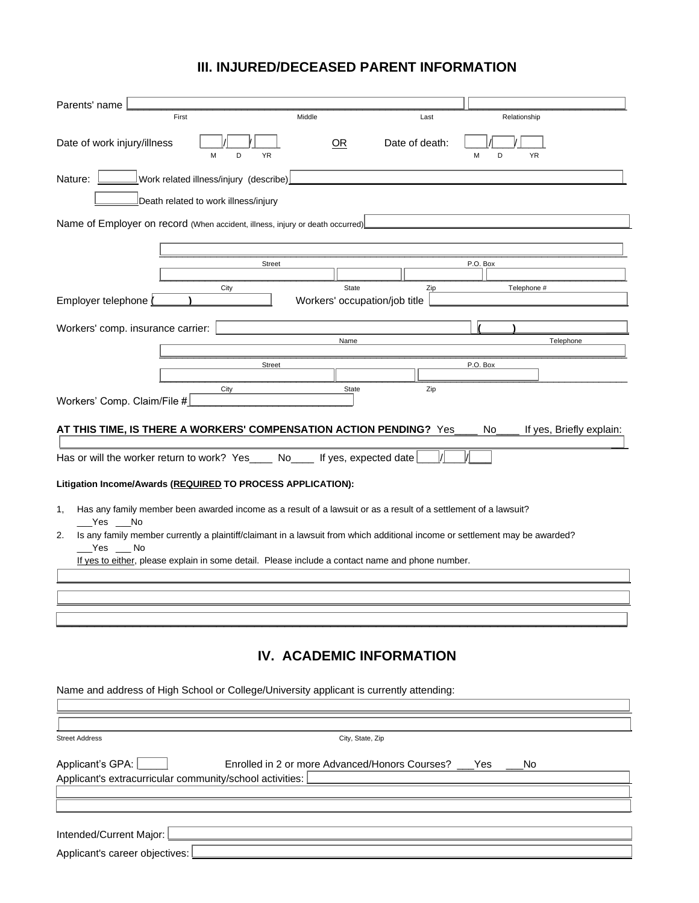# **III. INJURED/DECEASED PARENT INFORMATION**

| Parents' name                                                                                                                                   |                                        |                                               |                                                |                                            |                          |
|-------------------------------------------------------------------------------------------------------------------------------------------------|----------------------------------------|-----------------------------------------------|------------------------------------------------|--------------------------------------------|--------------------------|
| First                                                                                                                                           |                                        | Middle                                        | Last                                           | Relationship                               |                          |
| Date of work injury/illness                                                                                                                     | D<br><b>YR</b><br>M                    | OR                                            | Date of death:                                 | <b>YR</b><br>M<br>D                        |                          |
| Nature:                                                                                                                                         | Work related illness/injury (describe) |                                               |                                                |                                            |                          |
|                                                                                                                                                 | Death related to work illness/injury   |                                               |                                                |                                            |                          |
| Name of Employer on record (When accident, illness, injury or death occurred)                                                                   |                                        |                                               |                                                |                                            |                          |
|                                                                                                                                                 |                                        |                                               |                                                |                                            |                          |
|                                                                                                                                                 | <b>Street</b>                          |                                               |                                                | P.O. Box                                   |                          |
| Employer telephone                                                                                                                              | City                                   | <b>State</b><br>Workers' occupation/job title | Zip                                            | Telephone #                                |                          |
|                                                                                                                                                 |                                        |                                               |                                                |                                            |                          |
| Workers' comp. insurance carrier:                                                                                                               |                                        | Name                                          |                                                |                                            | Telephone                |
|                                                                                                                                                 | <b>Street</b>                          |                                               |                                                | P.O. Box                                   |                          |
|                                                                                                                                                 | City                                   | State                                         | Zip                                            |                                            |                          |
| Workers' Comp. Claim/File #                                                                                                                     |                                        |                                               |                                                |                                            |                          |
| AT THIS TIME, IS THERE A WORKERS' COMPENSATION ACTION PENDING? $\,$ $\mathrm{Yes\_}$                                                            |                                        |                                               |                                                | No <sub>1</sub>                            | If yes, Briefly explain: |
|                                                                                                                                                 |                                        |                                               |                                                |                                            |                          |
| Has or will the worker return to work? $Yes\rule{1em}{0.15mm}$ No $\rule{1.15mm}{0.15mm}$                                                       |                                        | $\Box$ If yes, expected date                  |                                                |                                            |                          |
| Litigation Income/Awards (REQUIRED TO PROCESS APPLICATION):                                                                                     |                                        |                                               |                                                |                                            |                          |
| Has any family member been awarded income as a result of a lawsuit or as a result of a settlement of a lawsuit?<br>1,                           |                                        |                                               |                                                |                                            |                          |
| lNo<br>Yes<br>2.<br>Is any family member currently a plaintiff/claimant in a lawsuit from which additional income or settlement may be awarded? |                                        |                                               |                                                |                                            |                          |
| Yes<br>No<br>If yes to either, please explain in some detail. Please include a contact name and phone number.                                   |                                        |                                               |                                                |                                            |                          |
|                                                                                                                                                 |                                        |                                               |                                                |                                            |                          |
|                                                                                                                                                 |                                        |                                               |                                                |                                            |                          |
|                                                                                                                                                 |                                        |                                               |                                                |                                            |                          |
|                                                                                                                                                 |                                        |                                               |                                                |                                            |                          |
|                                                                                                                                                 |                                        |                                               | IV. ACADEMIC INFORMATION                       |                                            |                          |
| Name and address of High School or College/University applicant is currently attending:                                                         |                                        |                                               |                                                |                                            |                          |
|                                                                                                                                                 |                                        |                                               |                                                |                                            |                          |
| <b>Street Address</b>                                                                                                                           |                                        | City, State, Zip                              |                                                |                                            |                          |
| Applicant's GPA:                                                                                                                                |                                        |                                               | Enrolled in 2 or more Advanced/Honors Courses? | $\perp$ Yes<br>$\overline{\phantom{a}}$ No |                          |
| Applicant's extracurricular community/school activities:                                                                                        |                                        |                                               |                                                |                                            |                          |
|                                                                                                                                                 |                                        |                                               |                                                |                                            |                          |
|                                                                                                                                                 |                                        |                                               |                                                |                                            |                          |
| Intended/Current Major:                                                                                                                         |                                        |                                               |                                                |                                            |                          |
| Applicant's career objectives:                                                                                                                  |                                        |                                               |                                                |                                            |                          |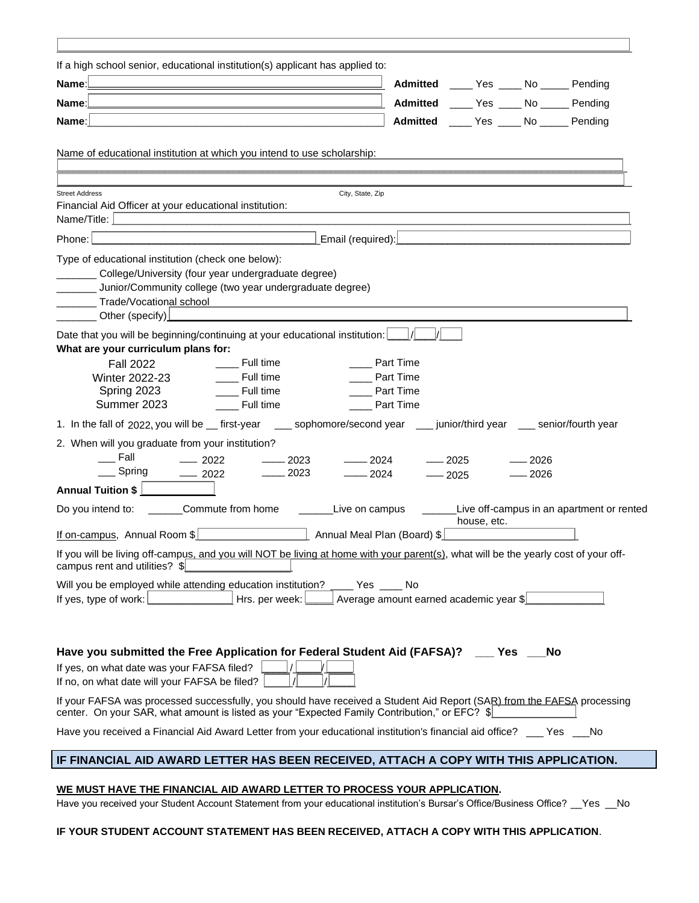| If a high school senior, educational institution(s) applicant has applied to:                                                                                                                                            |
|--------------------------------------------------------------------------------------------------------------------------------------------------------------------------------------------------------------------------|
| Pending<br>Name:<br><b>Admitted</b><br>No<br>Yes                                                                                                                                                                         |
| <b>Admitted</b><br><b>No</b><br>Pending<br>Name:<br>Yes                                                                                                                                                                  |
| Pending<br><b>Admitted</b><br>No<br>Name:<br>Yes                                                                                                                                                                         |
| Name of educational institution at which you intend to use scholarship:                                                                                                                                                  |
| <b>Street Address</b><br>City, State, Zip                                                                                                                                                                                |
| Financial Aid Officer at your educational institution:                                                                                                                                                                   |
| Name/Title:                                                                                                                                                                                                              |
| Email (required):<br>Phone:                                                                                                                                                                                              |
| Type of educational institution (check one below):<br>College/University (four year undergraduate degree)<br>Junior/Community college (two year undergraduate degree)<br>Trade/Vocational school<br>Other (specify)      |
| Date that you will be beginning/continuing at your educational institution:                                                                                                                                              |
| Full time<br>Part Time<br><b>Fall 2022</b><br>Full time<br>Part Time<br><b>Winter 2022-23</b><br>Full time<br>Spring 2023<br>Part Time<br>Summer 2023<br>Full time<br>Part Time                                          |
| sophomore/second year<br>1. In the fall of $2022$ , you will be $\Box$ first-year<br>junior/third year<br>senior/fourth year                                                                                             |
| 2. When will you graduate from your institution?<br>Fall<br>2022<br>2024<br>2025<br>2026<br>2023<br>Spring<br>2023<br>2024<br>2022<br>2026<br>2025                                                                       |
| <b>Annual Tuition \$</b>                                                                                                                                                                                                 |
| Commute from home<br>Live on campus<br>Live off-campus in an apartment or rented<br>Do you intend to:<br>house, etc.                                                                                                     |
| If on-campus, Annual Room \$<br>Annual Meal Plan (Board) \$                                                                                                                                                              |
| If you will be living off-campus, and you will NOT be living at home with your parent(s), what will be the yearly cost of your off-<br>campus rent and utilities? \$                                                     |
| Will you be employed while attending education institution?<br>Yes<br>No<br>Hrs. per week:<br>If yes, type of work:<br>Average amount earned academic year \$                                                            |
|                                                                                                                                                                                                                          |
| Have you submitted the Free Application for Federal Student Aid (FAFSA)?<br>No<br>Yes                                                                                                                                    |
| If yes, on what date was your FAFSA filed?<br>If no, on what date will your FAFSA be filed?                                                                                                                              |
| If your FAFSA was processed successfully, you should have received a Student Aid Report (SAR) from the FAFSA processing<br>center. On your SAR, what amount is listed as your "Expected Family Contribution," or EFC? \$ |
| Have you received a Financial Aid Award Letter from your educational institution's financial aid office?<br><b>No</b><br>Yes                                                                                             |
| IF FINANCIAL AID AWARD LETTER HAS BEEN RECEIVED, ATTACH A COPY WITH THIS APPLICATION.                                                                                                                                    |

### **WE MUST HAVE THE FINANCIAL AID AWARD LETTER TO PROCESS YOUR APPLICATION.**

Have you received your Student Account Statement from your educational institution's Bursar's Office/Business Office? Nes

### **IF YOUR STUDENT ACCOUNT STATEMENT HAS BEEN RECEIVED, ATTACH A COPY WITH THIS APPLICATION**.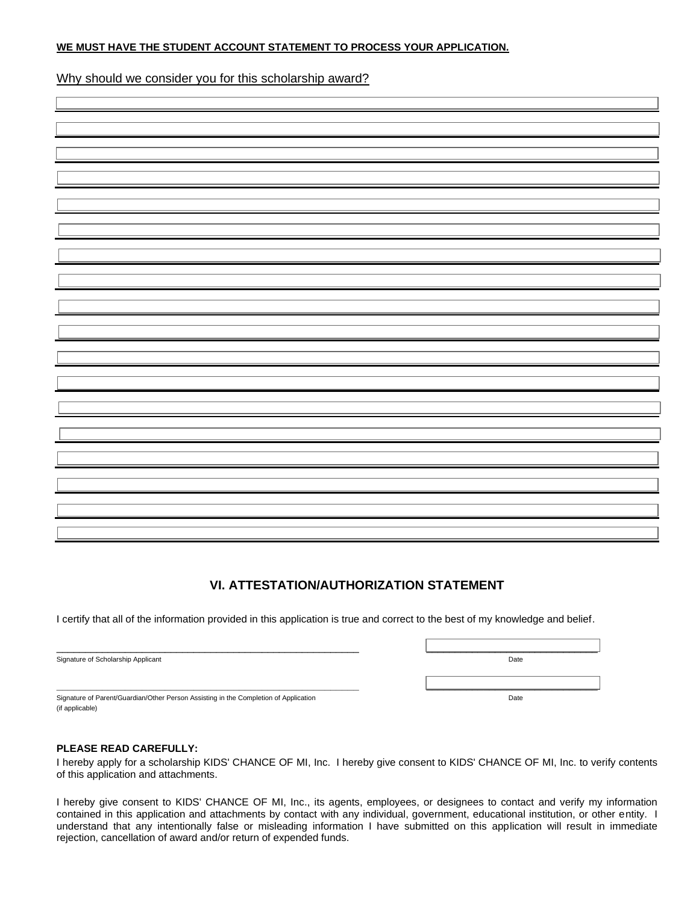#### **WE MUST HAVE THE STUDENT ACCOUNT STATEMENT TO PROCESS YOUR APPLICATION.**

Why should we consider you for this scholarship award?

### **VI. ATTESTATION/AUTHORIZATION STATEMENT**

I certify that all of the information provided in this application is true and correct to the best of my knowledge and belief.

| Signature of Scholarship Applicant                                                   | Date |
|--------------------------------------------------------------------------------------|------|
|                                                                                      |      |
|                                                                                      |      |
| Signature of Parent/Guardian/Other Person Assisting in the Completion of Application | Date |
| (if applicable)                                                                      |      |

### **PLEASE READ CAREFULLY:**

I hereby apply for a scholarship KIDS' CHANCE OF MI, Inc. I hereby give consent to KIDS' CHANCE OF MI, Inc. to verify contents of this application and attachments.

I hereby give consent to KIDS' CHANCE OF MI, Inc., its agents, employees, or designees to contact and verify my information contained in this application and attachments by contact with any individual, government, educational institution, or other entity. I understand that any intentionally false or misleading information I have submitted on this application will result in immediate rejection, cancellation of award and/or return of expended funds.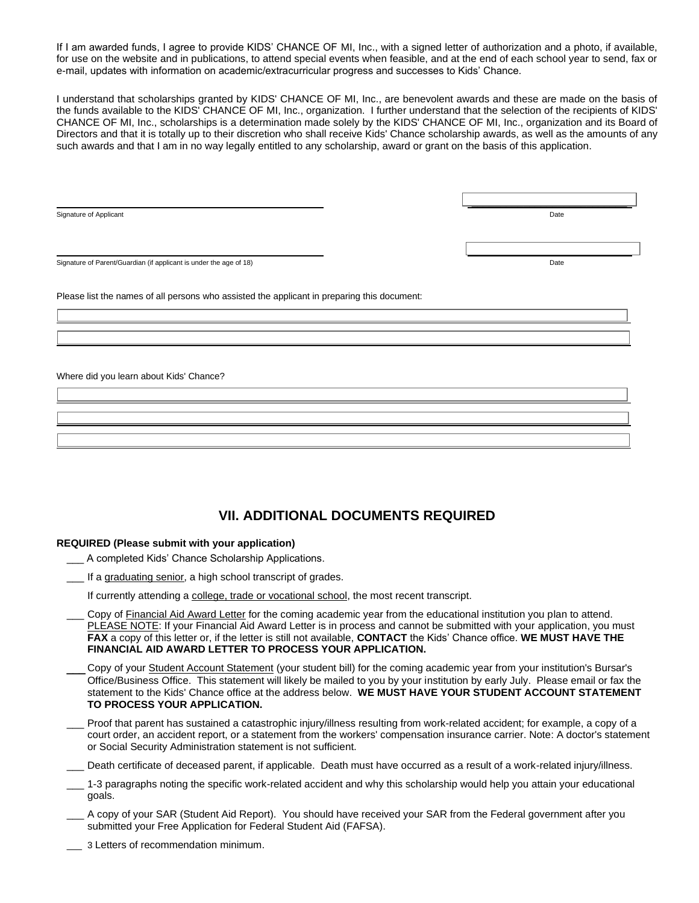If I am awarded funds, I agree to provide KIDS' CHANCE OF MI, Inc., with a signed letter of authorization and a photo, if available, for use on the website and in publications, to attend special events when feasible, and at the end of each school year to send, fax or e-mail, updates with information on academic/extracurricular progress and successes to Kids' Chance.

I understand that scholarships granted by KIDS' CHANCE OF MI, Inc., are benevolent awards and these are made on the basis of the funds available to the KIDS' CHANCE OF MI, Inc., organization. I further understand that the selection of the recipients of KIDS' CHANCE OF MI, Inc., scholarships is a determination made solely by the KIDS' CHANCE OF MI, Inc., organization and its Board of Directors and that it is totally up to their discretion who shall receive Kids' Chance scholarship awards, as well as the amounts of any such awards and that I am in no way legally entitled to any scholarship, award or grant on the basis of this application.

Signature of Applicant Date of Applicant Date of Applicant Date of Applicant Date of Applicant Date of Applicant Date of Applicant Date of Applicant Date of Applicant Date of Applicant Date of Applicant Date of Applicant D

Signature of Parent/Guardian (if applicant is under the age of 18) Date

Please list the names of all persons who assisted the applicant in preparing this document:

Where did you learn about Kids' Chance?

## **VII. ADDITIONAL DOCUMENTS REQUIRED**

#### **REQUIRED (Please submit with your application)**

- \_\_\_ A completed Kids' Chance Scholarship Applications.
- **\_\_\_** If a graduating senior, a high school transcript of grades.

If currently attending a college, trade or vocational school, the most recent transcript.

- Copy of Financial Aid Award Letter for the coming academic year from the educational institution you plan to attend. PLEASE NOTE: If your Financial Aid Award Letter is in process and cannot be submitted with your application, you must **FAX** a copy of this letter or, if the letter is still not available, **CONTACT** the Kids' Chance office. **WE MUST HAVE THE FINANCIAL AID AWARD LETTER TO PROCESS YOUR APPLICATION.**
- Copy of your Student Account Statement (your student bill) for the coming academic year from your institution's Bursar's Office/Business Office. This statement will likely be mailed to you by your institution by early July. Please email or fax the statement to the Kids' Chance office at the address below. **WE MUST HAVE YOUR STUDENT ACCOUNT STATEMENT TO PROCESS YOUR APPLICATION.**
- Proof that parent has sustained a catastrophic injury/illness resulting from work-related accident; for example, a copy of a court order, an accident report, or a statement from the workers' compensation insurance carrier. Note: A doctor's statement or Social Security Administration statement is not sufficient.
- \_\_\_ Death certificate of deceased parent, if applicable. Death must have occurred as a result of a work-related injury/illness.
- \_\_\_ 1-3 paragraphs noting the specific work-related accident and why this scholarship would help you attain your educational goals.
- A copy of your SAR (Student Aid Report). You should have received your SAR from the Federal government after you submitted your Free Application for Federal Student Aid (FAFSA).
- 3 Letters of recommendation minimum.

**\_\_\_\_\_\_\_\_\_\_\_\_\_\_\_\_\_\_\_\_\_\_\_\_\_\_\_**

**\_\_\_\_\_\_\_\_\_\_\_\_\_\_\_\_\_\_\_\_\_\_\_\_\_\_\_**